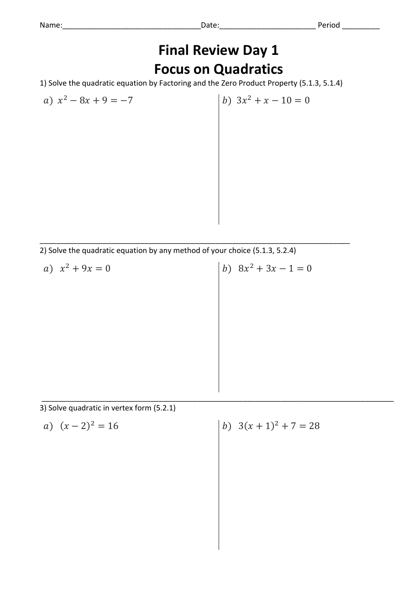## **Final Review Day 1 Focus on Quadratics**

1) Solve the quadratic equation by Factoring and the Zero Product Property (5.1.3, 5.1.4)

a)  $x^2 - 8x + 9 = -7$  <br> b)  $3x$ 

b)  $3x^2 + x - 10 = 0$ 

\_\_\_\_\_\_\_\_\_\_\_\_\_\_\_\_\_\_\_\_\_\_\_\_\_\_\_\_\_\_\_\_\_\_\_\_\_\_\_\_\_\_\_\_\_\_\_\_\_\_\_\_\_\_\_\_\_\_\_\_\_\_\_\_\_\_\_\_\_\_\_\_\_\_ 2) Solve the quadratic equation by any method of your choice (5.1.3, 5.2.4)

a)  $x^2 + 9x = 0$  (b) 8x b)  $8x^2 + 3x - 1 = 0$ 

\_\_\_\_\_\_\_\_\_\_\_\_\_\_\_\_\_\_\_\_\_\_\_\_\_\_\_\_\_\_\_\_\_\_\_\_\_\_\_\_\_\_\_\_\_\_\_\_\_\_\_\_\_\_\_\_\_\_\_\_\_\_\_\_\_\_\_\_\_\_\_\_\_\_\_\_\_\_\_\_\_\_\_\_

3) Solve quadratic in vertex form (5.2.1)

a) 
$$
(x-2)^2 = 16
$$

 $a^2 = 16$  <br>  $\boxed{b}$   $3(x + 1)^2 + 7 = 28$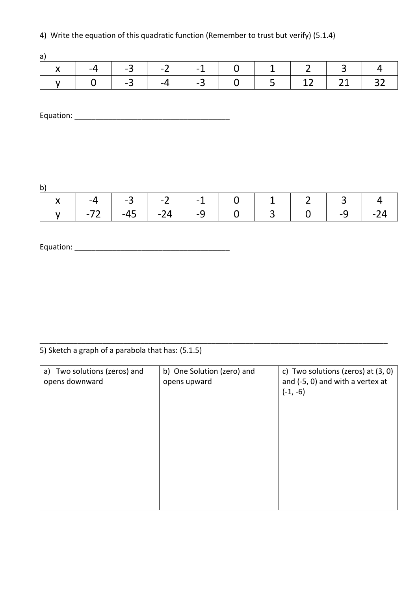4) Write the equation of this quadratic function (Remember to trust but verify) (5.1.4)

|  |  |  |  |  |  |  |  | $\vert \ \ y \ \vert \ \ 0 \ \ \vert \ -3 \ \ \vert \ -4 \ \ \vert \ -3 \ \ \hline \ \ 0 \ \ \vert \ \ 5 \ \ \vert \ \ 12 \ \ \vert \ \ 21 \ \ \vert \ \ 32 \ \ \vert$ |
|--|--|--|--|--|--|--|--|------------------------------------------------------------------------------------------------------------------------------------------------------------------------|

Equation: \_\_\_\_\_\_\_\_\_\_\_\_\_\_\_\_\_\_\_\_\_\_\_\_\_\_\_\_\_\_\_\_\_\_\_\_\_

b)

| $\sim$                                    |  |  |  |  |                                                 |  |  |
|-------------------------------------------|--|--|--|--|-------------------------------------------------|--|--|
| x   -4   -3   -2   -1   0   1   2   3   4 |  |  |  |  |                                                 |  |  |
|                                           |  |  |  |  | v   -72   -45   -24   -9   0   3   0   -9   -24 |  |  |

Equation: \_\_\_\_\_\_\_\_\_\_\_\_\_\_\_\_\_\_\_\_\_\_\_\_\_\_\_\_\_\_\_\_\_\_\_\_\_

5) Sketch a graph of a parabola that has: (5.1.5)

| a) Two solutions (zeros) and<br>opens downward | b) One Solution (zero) and<br>opens upward | c) Two solutions (zeros) at $(3, 0)$<br>and (-5, 0) and with a vertex at<br>$(-1, -6)$ |
|------------------------------------------------|--------------------------------------------|----------------------------------------------------------------------------------------|
|                                                |                                            |                                                                                        |
|                                                |                                            |                                                                                        |

\_\_\_\_\_\_\_\_\_\_\_\_\_\_\_\_\_\_\_\_\_\_\_\_\_\_\_\_\_\_\_\_\_\_\_\_\_\_\_\_\_\_\_\_\_\_\_\_\_\_\_\_\_\_\_\_\_\_\_\_\_\_\_\_\_\_\_\_\_\_\_\_\_\_\_\_\_\_\_\_\_\_\_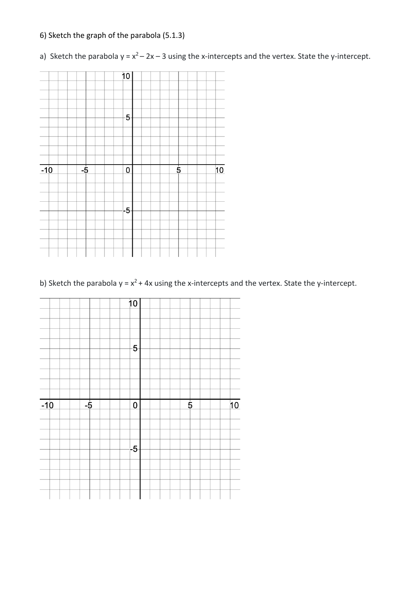## 6) Sketch the graph of the parabola (5.1.3)

a) Sketch the parabola  $y = x^2 - 2x - 3$  using the x-intercepts and the vertex. State the y-intercept.



b) Sketch the parabola  $y = x^2 + 4x$  using the x-intercepts and the vertex. State the y-intercept.